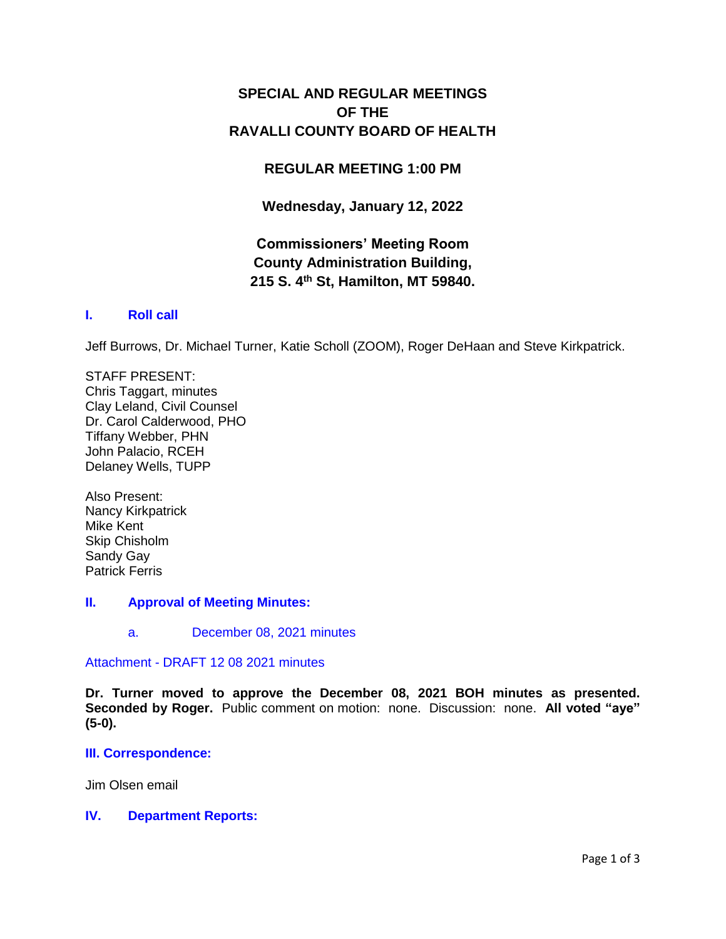# **SPECIAL AND REGULAR MEETINGS OF THE RAVALLI COUNTY BOARD OF HEALTH**

## **REGULAR MEETING 1:00 PM**

**Wednesday, January 12, 2022**

# **Commissioners' Meeting Room County Administration Building, 215 S. 4th St, Hamilton, MT 59840.**

## **I. [Roll call](http://ravalli-mt.granicus.com/wordlinkreceiver.php?clip_id=9a7f2e2f-b6c0-49b1-9987-98dae729c828&meta_id=bef98986-d642-409f-87d6-29c46c3937cf&time=1)**

Jeff Burrows, Dr. Michael Turner, Katie Scholl (ZOOM), Roger DeHaan and Steve Kirkpatrick.

STAFF PRESENT: Chris Taggart, minutes Clay Leland, Civil Counsel Dr. Carol Calderwood, PHO Tiffany Webber, PHN John Palacio, RCEH Delaney Wells, TUPP

Also Present: Nancy Kirkpatrick Mike Kent Skip Chisholm Sandy Gay Patrick Ferris

## **II. [Approval of Meeting Minutes:](http://ravalli-mt.granicus.com/wordlinkreceiver.php?clip_id=9a7f2e2f-b6c0-49b1-9987-98dae729c828&meta_id=c468411c-d118-4394-81aa-0ef6330f6879&time=86)**

a. [December 08, 2021 minutes](http://ravalli-mt.granicus.com/wordlinkreceiver.php?clip_id=9a7f2e2f-b6c0-49b1-9987-98dae729c828&meta_id=9840de0d-c479-4443-8714-1977294a5a02&time=108)

## Attachment - [DRAFT 12 08 2021 minutes](http://ravalli-mt.granicus.com/DocumentViewer.php?file=ravalli-mt_92d4453cbc3d45084a7271572863540a.pdf)

**Dr. Turner moved to approve the December 08, 2021 BOH minutes as presented. Seconded by Roger.** Public comment on motion: none. Discussion: none. **All voted "aye" (5-0).**

## **[III. Correspondence:](http://ravalli-mt.granicus.com/wordlinkreceiver.php?clip_id=9a7f2e2f-b6c0-49b1-9987-98dae729c828&meta_id=f2864a4d-3de0-443f-85bf-c7b53425b592&time=129)**

Jim Olsen email

## **IV. [Department Reports:](http://ravalli-mt.granicus.com/wordlinkreceiver.php?clip_id=9a7f2e2f-b6c0-49b1-9987-98dae729c828&meta_id=dc3fa47d-debd-400f-b86e-67977c269a3c&time=143)**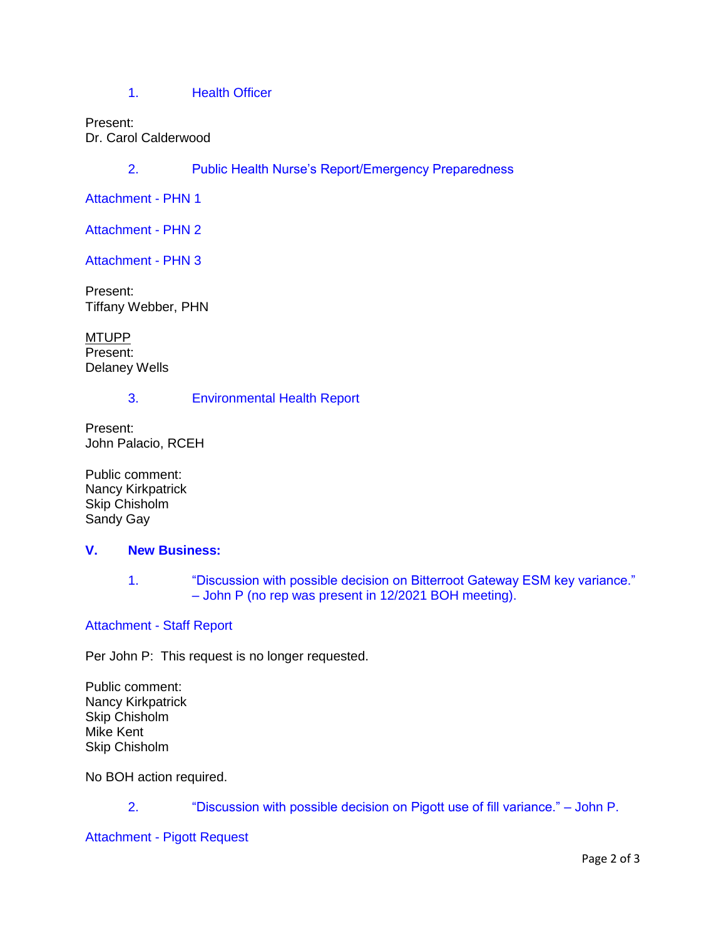1. [Health Officer](http://ravalli-mt.granicus.com/wordlinkreceiver.php?clip_id=9a7f2e2f-b6c0-49b1-9987-98dae729c828&meta_id=e9d9d081-1c39-4fc4-85a4-19aebb698dee&time=144)

#### Present: Dr. Carol Calderwood

2. [Public Health Nurse's Report/Emergency Preparedness](http://ravalli-mt.granicus.com/wordlinkreceiver.php?clip_id=9a7f2e2f-b6c0-49b1-9987-98dae729c828&meta_id=ac018190-a018-4898-ac12-f6a40d1d3428&time=551)

[Attachment -](http://ravalli-mt.granicus.com/DocumentViewer.php?file=ravalli-mt_d327c4fb88c2698da7f1d2aa35f9c561.pdf) PHN 1

[Attachment -](http://ravalli-mt.granicus.com/DocumentViewer.php?file=ravalli-mt_7193efded2d5dba34fb0a1b7c0bce70c.pdf) PHN 2

[Attachment -](http://ravalli-mt.granicus.com/DocumentViewer.php?file=ravalli-mt_d41732b8df437e0d86ae21db3d1c76e5.pdf) PHN 3

Present: Tiffany Webber, PHN

MTUPP Present: Delaney Wells

## 3. [Environmental Health Report](http://ravalli-mt.granicus.com/wordlinkreceiver.php?clip_id=9a7f2e2f-b6c0-49b1-9987-98dae729c828&meta_id=148e22b1-bc63-4609-94ec-52baf411174c&time=2096)

Present: John Palacio, RCEH

Public comment: Nancy Kirkpatrick Skip Chisholm Sandy Gay

## **V. [New Business:](http://ravalli-mt.granicus.com/wordlinkreceiver.php?clip_id=9a7f2e2f-b6c0-49b1-9987-98dae729c828&meta_id=f59716cf-a67a-4871-a1ab-e88d95bd56ec&time=2754)**

1. ["Discussion with possible decision on Bitterroot Gateway ESM key variance."](http://ravalli-mt.granicus.com/wordlinkreceiver.php?clip_id=9a7f2e2f-b6c0-49b1-9987-98dae729c828&meta_id=b4ba9263-e221-4cc3-ae8e-872314f03210&time=2755)  – John P (no [rep was present in 12/2021 BOH meeting\).](http://ravalli-mt.granicus.com/wordlinkreceiver.php?clip_id=9a7f2e2f-b6c0-49b1-9987-98dae729c828&meta_id=b4ba9263-e221-4cc3-ae8e-872314f03210&time=2755)

## [Attachment -](http://ravalli-mt.granicus.com/DocumentViewer.php?file=ravalli-mt_e6b0aeefd402b0e39eedf7d9dbb6216e.pdf) Staff Report

Per John P: This request is no longer requested.

Public comment: Nancy Kirkpatrick Skip Chisholm Mike Kent Skip Chisholm

No BOH action required.

2. ["Discussion with possible decision on Pigott use of fill variance." –](http://ravalli-mt.granicus.com/wordlinkreceiver.php?clip_id=9a7f2e2f-b6c0-49b1-9987-98dae729c828&meta_id=50bb8d88-a0d9-4314-b94f-99db8d433a49&time=4298) John P.

[Attachment -](http://ravalli-mt.granicus.com/DocumentViewer.php?file=ravalli-mt_e3994a0f879d2f91d5d559aa3efd8818.pdf) Pigott Request